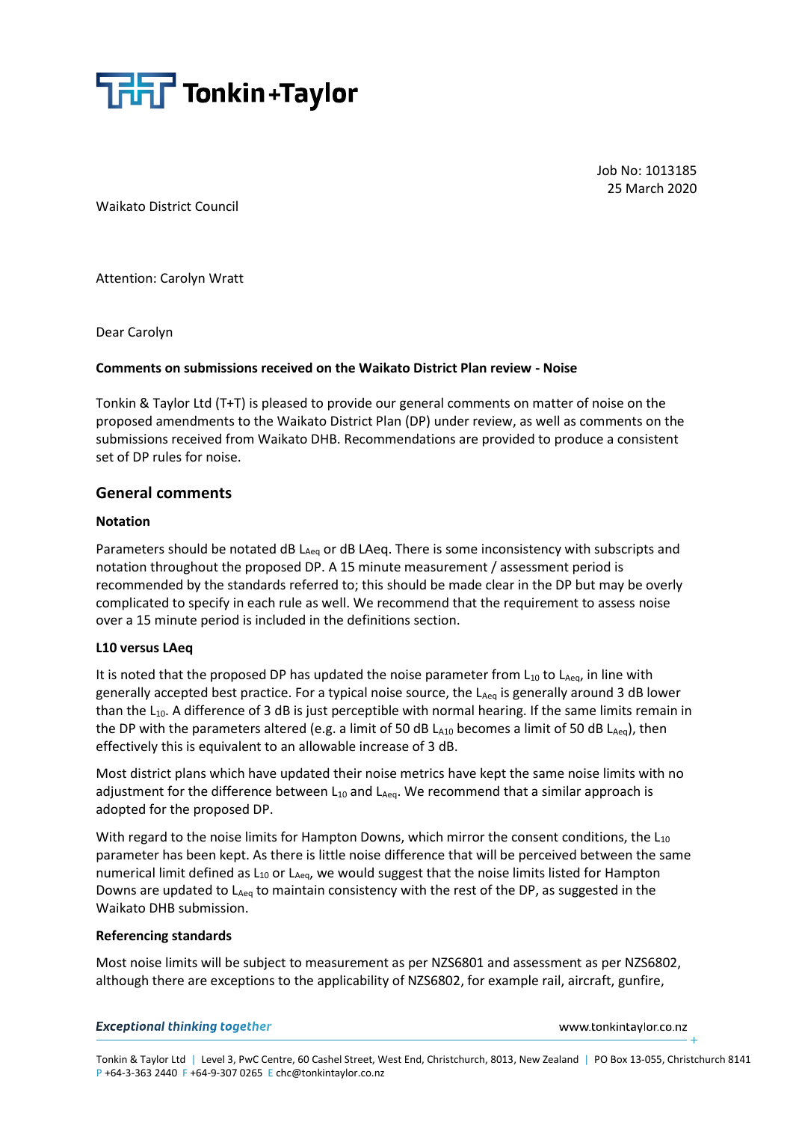

Job No: 1013185 25 March 2020

Waikato District Council

Attention: Carolyn Wratt

Dear Carolyn

### **Comments on submissions received on the Waikato District Plan review - Noise**

Tonkin & Taylor Ltd (T+T) is pleased to provide our general comments on matter of noise on the proposed amendments to the Waikato District Plan (DP) under review, as well as comments on the submissions received from Waikato DHB. Recommendations are provided to produce a consistent set of DP rules for noise.

## **General comments**

### **Notation**

Parameters should be notated dB  $L_{Aea}$  or dB LAeq. There is some inconsistency with subscripts and notation throughout the proposed DP. A 15 minute measurement / assessment period is recommended by the standards referred to; this should be made clear in the DP but may be overly complicated to specify in each rule as well. We recommend that the requirement to assess noise over a 15 minute period is included in the definitions section.

## **L10 versus LAeq**

It is noted that the proposed DP has updated the noise parameter from  $L_{10}$  to  $L_{Aeq}$ , in line with generally accepted best practice. For a typical noise source, the LAeq is generally around 3 dB lower than the  $L_{10}$ . A difference of 3 dB is just perceptible with normal hearing. If the same limits remain in the DP with the parameters altered (e.g. a limit of 50 dB  $L_{A10}$  becomes a limit of 50 dB  $L_{Aeq}$ ), then effectively this is equivalent to an allowable increase of 3 dB.

Most district plans which have updated their noise metrics have kept the same noise limits with no adjustment for the difference between  $L_{10}$  and  $L_{Aeq}$ . We recommend that a similar approach is adopted for the proposed DP.

With regard to the noise limits for Hampton Downs, which mirror the consent conditions, the  $L_{10}$ parameter has been kept. As there is little noise difference that will be perceived between the same numerical limit defined as  $L_{10}$  or  $L_{Aeq}$ , we would suggest that the noise limits listed for Hampton Downs are updated to  $L_{Aeq}$  to maintain consistency with the rest of the DP, as suggested in the Waikato DHB submission.

#### **Referencing standards**

Most noise limits will be subject to measurement as per NZS6801 and assessment as per NZS6802, although there are exceptions to the applicability of NZS6802, for example rail, aircraft, gunfire,

#### **Exceptional thinking together**

www.tonkintaylor.co.nz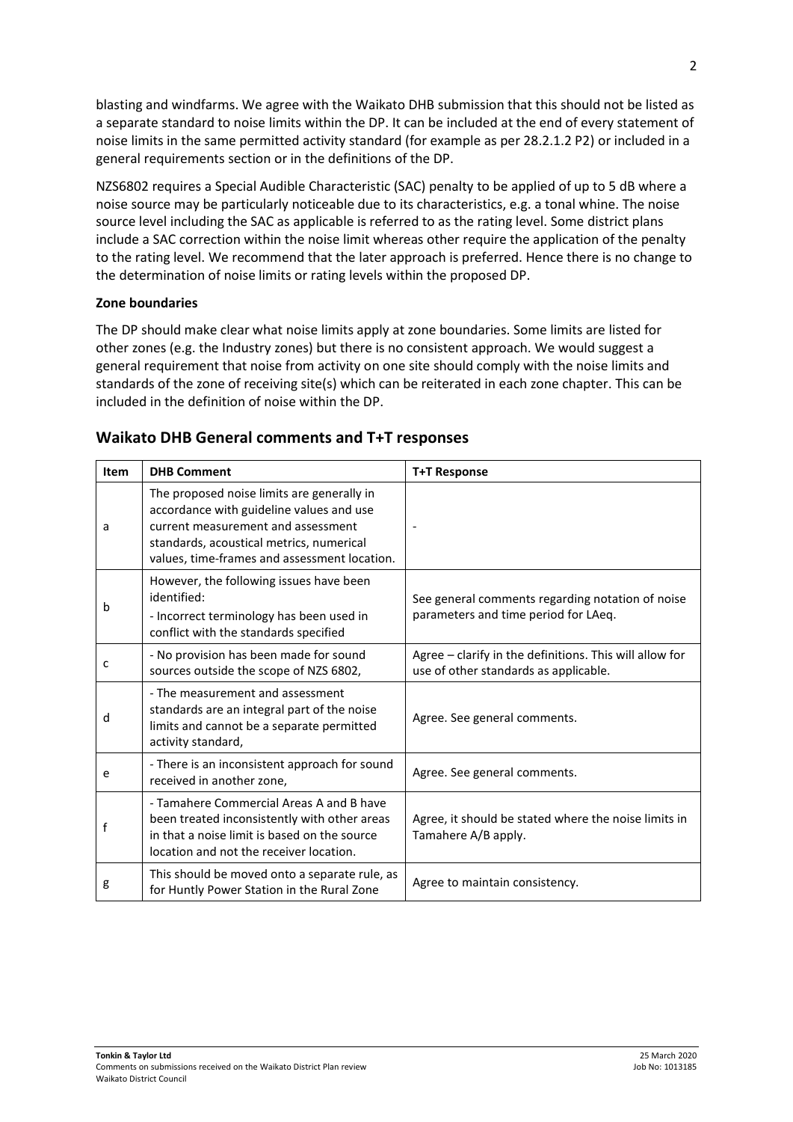blasting and windfarms. We agree with the Waikato DHB submission that this should not be listed as a separate standard to noise limits within the DP. It can be included at the end of every statement of noise limits in the same permitted activity standard (for example as per 28.2.1.2 P2) or included in a general requirements section or in the definitions of the DP.

NZS6802 requires a Special Audible Characteristic (SAC) penalty to be applied of up to 5 dB where a noise source may be particularly noticeable due to its characteristics, e.g. a tonal whine. The noise source level including the SAC as applicable is referred to as the rating level. Some district plans include a SAC correction within the noise limit whereas other require the application of the penalty to the rating level. We recommend that the later approach is preferred. Hence there is no change to the determination of noise limits or rating levels within the proposed DP.

## **Zone boundaries**

The DP should make clear what noise limits apply at zone boundaries. Some limits are listed for other zones (e.g. the Industry zones) but there is no consistent approach. We would suggest a general requirement that noise from activity on one site should comply with the noise limits and standards of the zone of receiving site(s) which can be reiterated in each zone chapter. This can be included in the definition of noise within the DP.

| Item | <b>DHB Comment</b>                                                                                                                                                                                                       | <b>T+T Response</b>                                                                              |
|------|--------------------------------------------------------------------------------------------------------------------------------------------------------------------------------------------------------------------------|--------------------------------------------------------------------------------------------------|
| a    | The proposed noise limits are generally in<br>accordance with guideline values and use<br>current measurement and assessment<br>standards, acoustical metrics, numerical<br>values, time-frames and assessment location. |                                                                                                  |
| b    | However, the following issues have been<br>identified:<br>- Incorrect terminology has been used in<br>conflict with the standards specified                                                                              | See general comments regarding notation of noise<br>parameters and time period for LAeq.         |
| c    | - No provision has been made for sound<br>sources outside the scope of NZS 6802,                                                                                                                                         | Agree - clarify in the definitions. This will allow for<br>use of other standards as applicable. |
| d    | - The measurement and assessment<br>standards are an integral part of the noise<br>limits and cannot be a separate permitted<br>activity standard,                                                                       | Agree. See general comments.                                                                     |
| e    | - There is an inconsistent approach for sound<br>received in another zone,                                                                                                                                               | Agree. See general comments.                                                                     |
|      | - Tamahere Commercial Areas A and B have<br>been treated inconsistently with other areas<br>in that a noise limit is based on the source<br>location and not the receiver location.                                      | Agree, it should be stated where the noise limits in<br>Tamahere A/B apply.                      |
| g    | This should be moved onto a separate rule, as<br>for Huntly Power Station in the Rural Zone                                                                                                                              | Agree to maintain consistency.                                                                   |

## **Waikato DHB General comments and T+T responses**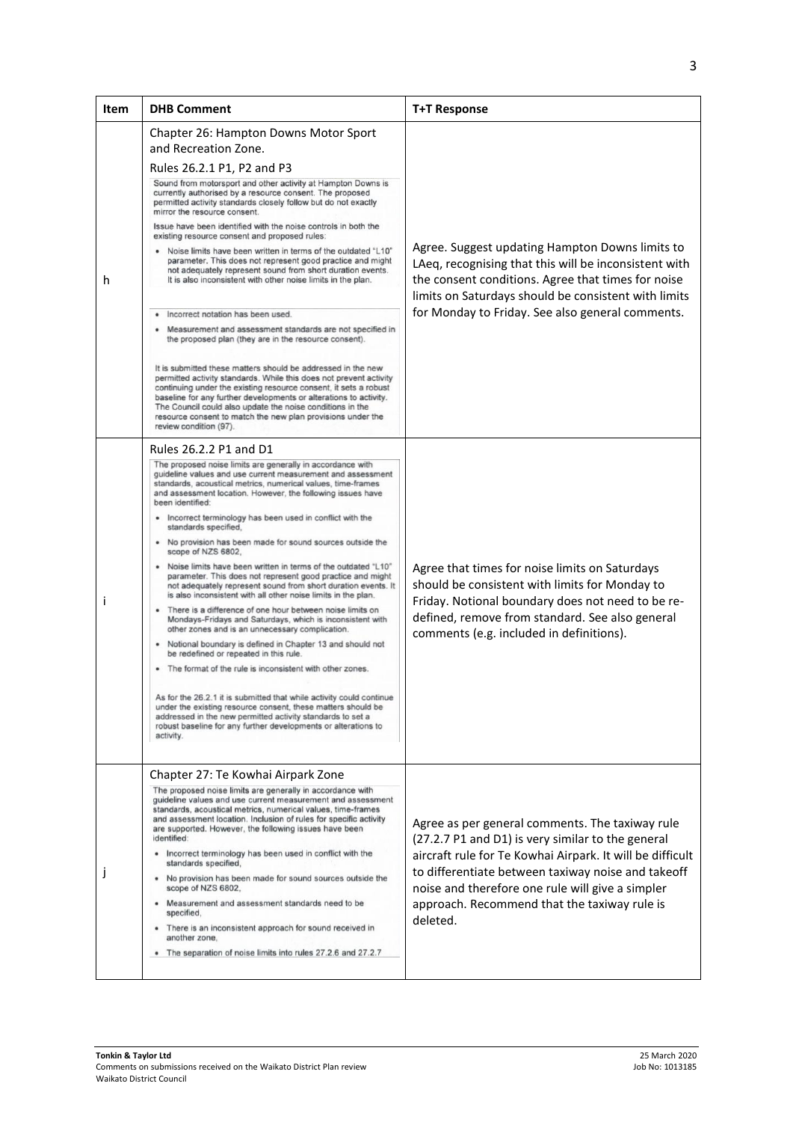| <b>Item</b> | <b>DHB Comment</b>                                                                                                                                                                                                                                                                                                                                                                                                                                                                                                                                                                                                                                                                                                                                                                                                                                                                                                                                                                                                                                                                                                                                                                                                                                                                                                                                                                           | <b>T+T Response</b>                                                                                                                                                                                                                                                                                                                     |
|-------------|----------------------------------------------------------------------------------------------------------------------------------------------------------------------------------------------------------------------------------------------------------------------------------------------------------------------------------------------------------------------------------------------------------------------------------------------------------------------------------------------------------------------------------------------------------------------------------------------------------------------------------------------------------------------------------------------------------------------------------------------------------------------------------------------------------------------------------------------------------------------------------------------------------------------------------------------------------------------------------------------------------------------------------------------------------------------------------------------------------------------------------------------------------------------------------------------------------------------------------------------------------------------------------------------------------------------------------------------------------------------------------------------|-----------------------------------------------------------------------------------------------------------------------------------------------------------------------------------------------------------------------------------------------------------------------------------------------------------------------------------------|
| h           | Chapter 26: Hampton Downs Motor Sport<br>and Recreation Zone.<br>Rules 26.2.1 P1, P2 and P3<br>Sound from motorsport and other activity at Hampton Downs is<br>currently authorised by a resource consent. The proposed<br>permitted activity standards closely follow but do not exactly<br>mirror the resource consent.<br>Issue have been identified with the noise controls in both the<br>existing resource consent and proposed rules:<br>Noise limits have been written in terms of the outdated "L10"<br>parameter. This does not represent good practice and might<br>not adequately represent sound from short duration events.<br>It is also inconsistent with other noise limits in the plan.<br>Incorrect notation has been used.<br>Measurement and assessment standards are not specified in<br>the proposed plan (they are in the resource consent).<br>It is submitted these matters should be addressed in the new<br>permitted activity standards. While this does not prevent activity<br>continuing under the existing resource consent, it sets a robust<br>baseline for any further developments or alterations to activity.<br>The Council could also update the noise conditions in the<br>resource consent to match the new plan provisions under the<br>review condition (97).                                                                                    | Agree. Suggest updating Hampton Downs limits to<br>LAeq, recognising that this will be inconsistent with<br>the consent conditions. Agree that times for noise<br>limits on Saturdays should be consistent with limits<br>for Monday to Friday. See also general comments.                                                              |
| Ť           | Rules 26.2.2 P1 and D1<br>The proposed noise limits are generally in accordance with<br>guideline values and use current measurement and assessment<br>standards, acoustical metrics, numerical values, time-frames<br>and assessment location. However, the following issues have<br>been identified:<br>Incorrect terminology has been used in conflict with the<br>standards specified.<br>. No provision has been made for sound sources outside the<br>scope of NZS 6802.<br>. Noise limits have been written in terms of the outdated "L10"<br>parameter. This does not represent good practice and might<br>not adequately represent sound from short duration events. It<br>is also inconsistent with all other noise limits in the plan.<br>• There is a difference of one hour between noise limits on<br>Mondays-Fridays and Saturdays, which is inconsistent with<br>other zones and is an unnecessary complication.<br>• Notional boundary is defined in Chapter 13 and should not<br>be redefined or repeated in this rule.<br>• The format of the rule is inconsistent with other zones.<br>As for the 26.2.1 it is submitted that while activity could continue<br>under the existing resource consent, these matters should be<br>addressed in the new permitted activity standards to set a<br>robust baseline for any further developments or alterations to<br>activity. | Agree that times for noise limits on Saturdays<br>should be consistent with limits for Monday to<br>Friday. Notional boundary does not need to be re-<br>defined, remove from standard. See also general<br>comments (e.g. included in definitions).                                                                                    |
| J           | Chapter 27: Te Kowhai Airpark Zone<br>The proposed noise limits are generally in accordance with<br>guideline values and use current measurement and assessment<br>standards, acoustical metrics, numerical values, time-frames<br>and assessment location. Inclusion of rules for specific activity<br>are supported. However, the following issues have been<br>identified:<br>Incorrect terminology has been used in conflict with the<br>standards specified,<br>No provision has been made for sound sources outside the<br>scope of NZS 6802,<br>Measurement and assessment standards need to be<br>specified,<br>There is an inconsistent approach for sound received in<br>another zone.<br>The separation of noise limits into rules 27.2.6 and 27.2.7                                                                                                                                                                                                                                                                                                                                                                                                                                                                                                                                                                                                                              | Agree as per general comments. The taxiway rule<br>(27.2.7 P1 and D1) is very similar to the general<br>aircraft rule for Te Kowhai Airpark. It will be difficult<br>to differentiate between taxiway noise and takeoff<br>noise and therefore one rule will give a simpler<br>approach. Recommend that the taxiway rule is<br>deleted. |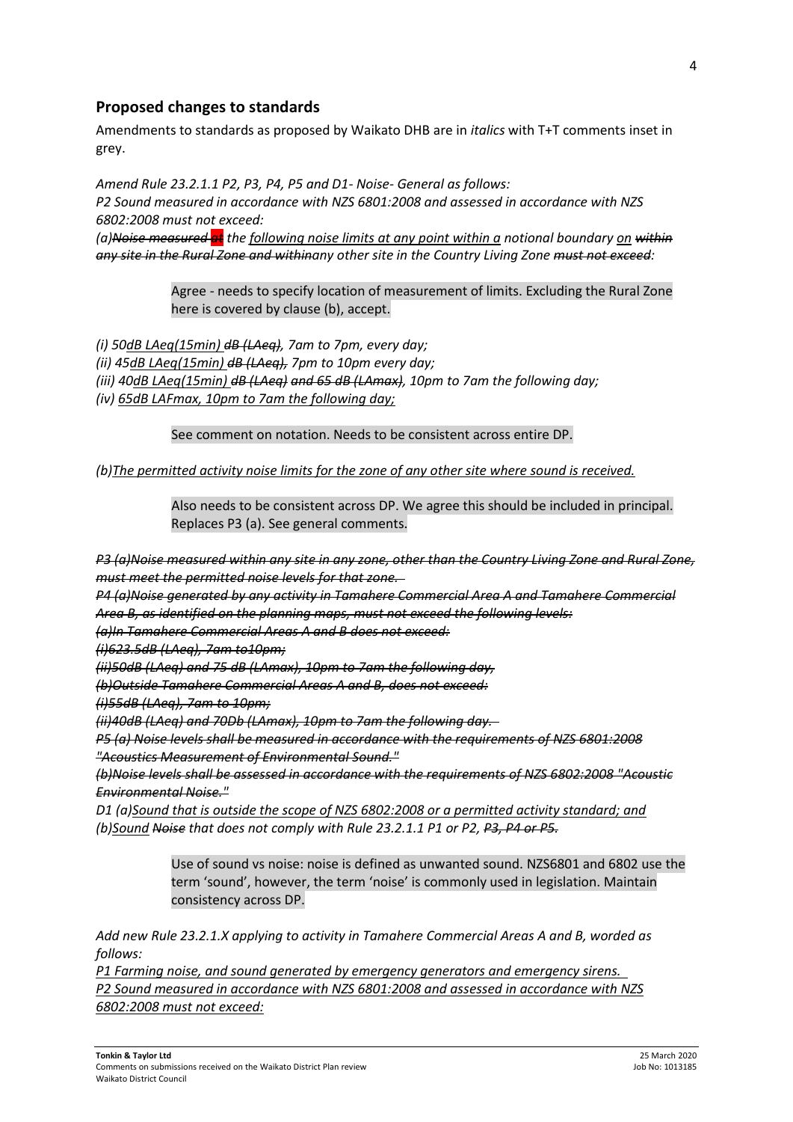## **Proposed changes to standards**

Amendments to standards as proposed by Waikato DHB are in *italics* with T+T comments inset in grey.

*Amend Rule 23.2.1.1 P2, P3, P4, P5 and D1- Noise- General as follows: P2 Sound measured in accordance with NZS 6801:2008 and assessed in accordance with NZS 6802:2008 must not exceed: (a)Noise measured at the following noise limits at any point within a notional boundary on within any site in the Rural Zone and withinany other site in the Country Living Zone must not exceed:* 

> Agree - needs to specify location of measurement of limits. Excluding the Rural Zone here is covered by clause (b), accept.

*(i) 50dB LAeq(15min) dB (LAeq), 7am to 7pm, every day; (ii) 45dB LAeq(15min) dB (LAeq), 7pm to 10pm every day; (iii) 40dB LAeq(15min) dB (LAeq) and 65 dB (LAmax), 10pm to 7am the following day; (iv) 65dB LAFmax, 10pm to 7am the following day;*

See comment on notation. Needs to be consistent across entire DP.

*(b)The permitted activity noise limits for the zone of any other site where sound is received.*

Also needs to be consistent across DP. We agree this should be included in principal. Replaces P3 (a). See general comments.

*P3 (a)Noise measured within any site in any zone, other than the Country Living Zone and Rural Zone, must meet the permitted noise levels for that zone.* 

*P4 (a)Noise generated by any activity in Tamahere Commercial Area A and Tamahere Commercial Area B, as identified on the planning maps, must not exceed the following levels:* 

*(a)In Tamahere Commercial Areas A and B does not exceed:* 

*(i)623.5dB (LAeq), 7am to10pm;* 

*(ii)50dB (LAeq) and 75 dB (LAmax), 10pm to 7am the following day,* 

*(b)Outside Tamahere Commercial Areas A and B, does not exceed:* 

*(i)55dB (LAeq), 7am to 10pm;* 

*(ii)40dB (LAeq) and 70Db (LAmax), 10pm to 7am the following day.* 

*P5 (a) Noise levels shall be measured in accordance with the requirements of NZS 6801:2008 "Acoustics Measurement of Environmental Sound."* 

*(b)Noise levels shall be assessed in accordance with the requirements of NZS 6802:2008 "Acoustic Environmental Noise."*

*D1 (a)Sound that is outside the scope of NZS 6802:2008 or a permitted activity standard; and (b)Sound Noise that does not comply with Rule 23.2.1.1 P1 or P2, P3, P4 or P5.*

> Use of sound vs noise: noise is defined as unwanted sound. NZS6801 and 6802 use the term 'sound', however, the term 'noise' is commonly used in legislation. Maintain consistency across DP.

*Add new Rule 23.2.1.X applying to activity in Tamahere Commercial Areas A and B, worded as follows:* 

*P1 Farming noise, and sound generated by emergency generators and emergency sirens. P2 Sound measured in accordance with NZS 6801:2008 and assessed in accordance with NZS 6802:2008 must not exceed:*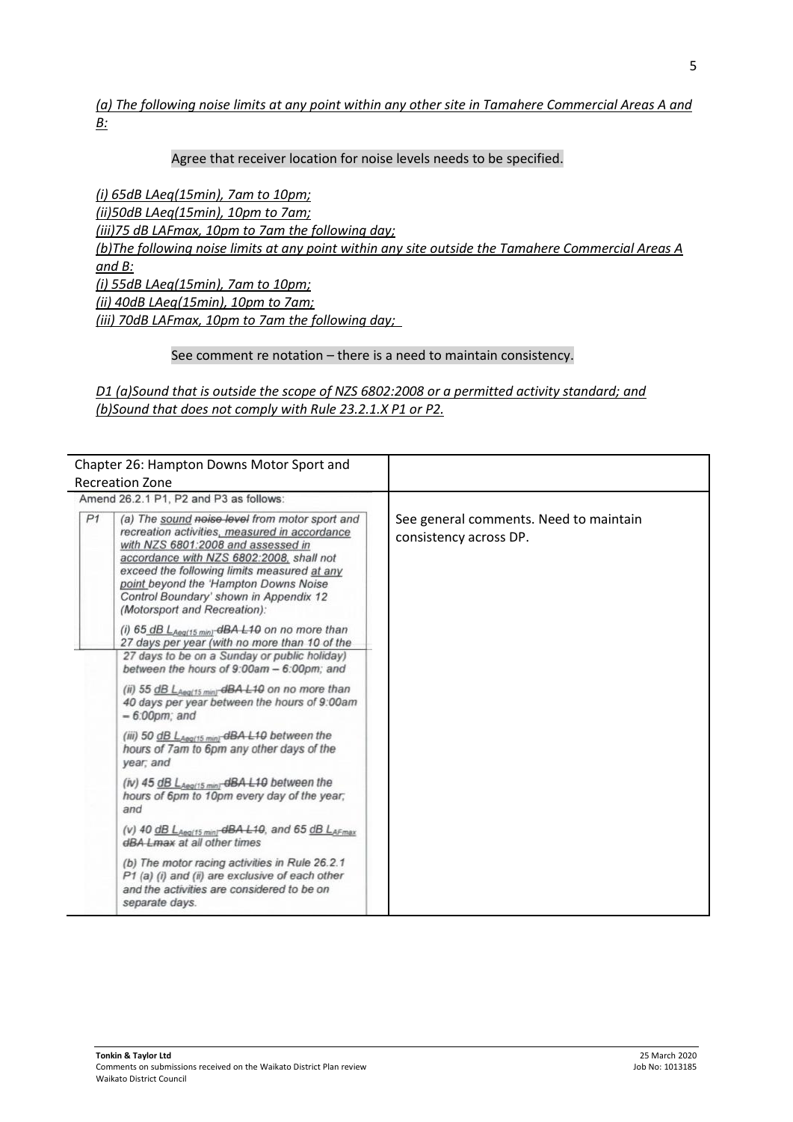*(a) The following noise limits at any point within any other site in Tamahere Commercial Areas A and B:* 

#### Agree that receiver location for noise levels needs to be specified.

*(i) 65dB LAeq(15min), 7am to 10pm; (ii)50dB LAeq(15min), 10pm to 7am; (iii)75 dB LAFmax, 10pm to 7am the following day; (b)The following noise limits at any point within any site outside the Tamahere Commercial Areas A and B: (i) 55dB LAeq(15min), 7am to 10pm; (ii) 40dB LAeq(15min), 10pm to 7am; (iii) 70dB LAFmax, 10pm to 7am the following day;* 

#### See comment re notation – there is a need to maintain consistency.

*D1 (a)Sound that is outside the scope of NZS 6802:2008 or a permitted activity standard; and (b)Sound that does not comply with Rule 23.2.1.X P1 or P2.*

| Chapter 26: Hampton Downs Motor Sport and<br><b>Recreation Zone</b>                                                                                                                                                                                                                                                                                                                                                                                                                                                                                                                                                                                                                                                                                                                                                                                                                                                                                                                                                                                                                                                                                                                                                                                                                                     |                                                                  |
|---------------------------------------------------------------------------------------------------------------------------------------------------------------------------------------------------------------------------------------------------------------------------------------------------------------------------------------------------------------------------------------------------------------------------------------------------------------------------------------------------------------------------------------------------------------------------------------------------------------------------------------------------------------------------------------------------------------------------------------------------------------------------------------------------------------------------------------------------------------------------------------------------------------------------------------------------------------------------------------------------------------------------------------------------------------------------------------------------------------------------------------------------------------------------------------------------------------------------------------------------------------------------------------------------------|------------------------------------------------------------------|
| Amend 26.2.1 P1, P2 and P3 as follows:                                                                                                                                                                                                                                                                                                                                                                                                                                                                                                                                                                                                                                                                                                                                                                                                                                                                                                                                                                                                                                                                                                                                                                                                                                                                  |                                                                  |
| P <sub>1</sub><br>(a) The sound noise level from motor sport and<br>recreation activities, measured in accordance<br>with NZS 6801:2008 and assessed in<br>accordance with NZS 6802:2008, shall not<br>exceed the following limits measured at any<br>point beyond the 'Hampton Downs Noise<br>Control Boundary' shown in Appendix 12<br>(Motorsport and Recreation):<br>(i) $65$ dB $L_{Aeq(15 min)}$ dBA L10 on no more than<br>27 days per year (with no more than 10 of the<br>27 days to be on a Sunday or public holiday)<br>between the hours of 9:00am - 6:00pm; and<br>(ii) 55 dB LAeg(15 min) dBA L10 on no more than<br>40 days per year between the hours of 9:00am<br>$-6:00$ <sub>pm</sub> : and<br>(iii) 50 $\underline{dB}$ L <sub>Aeg(15</sub> min)- $\overline{dBA}$ L10 between the<br>hours of 7am to 6pm any other days of the<br>year; and<br>(iv) $45$ $dB$ $L_{Aeq/15 min}$ $dBA$ $L10$ between the<br>hours of 6pm to 10pm every day of the year;<br>and<br>(v) 40 $\underline{dB}$ L <sub>Aeg(15 min]</sub> - $\overline{dBA}$ L <sub>10</sub> , and 65 $\underline{dB}$ L <sub>AFmax</sub><br>dBA Lmax at all other times<br>(b) The motor racing activities in Rule 26.2.1<br>P1 (a) (i) and (ii) are exclusive of each other<br>and the activities are considered to be on | See general comments. Need to maintain<br>consistency across DP. |
| separate days.                                                                                                                                                                                                                                                                                                                                                                                                                                                                                                                                                                                                                                                                                                                                                                                                                                                                                                                                                                                                                                                                                                                                                                                                                                                                                          |                                                                  |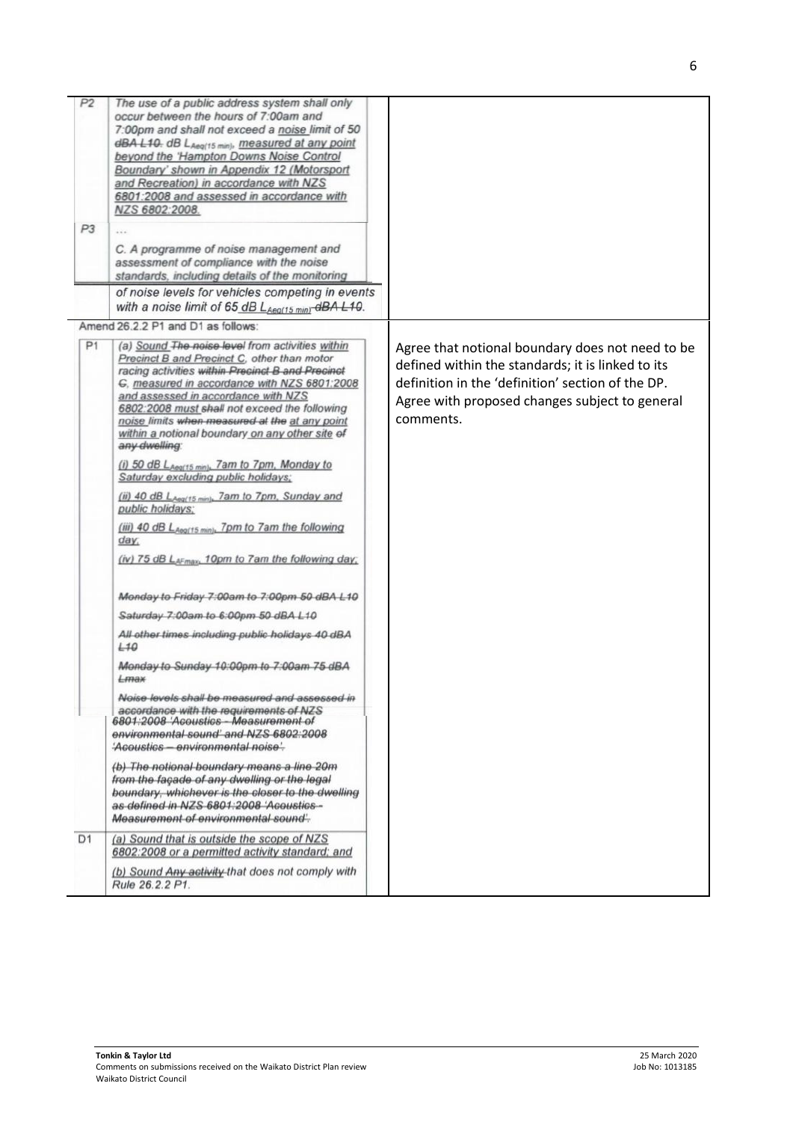| P2<br>P3       | The use of a public address system shall only<br>occur between the hours of 7:00am and<br>7:00pm and shall not exceed a noise limit of 50<br>dBA L10. dB LAeg(15 min), measured at any point<br>beyond the 'Hampton Downs Noise Control<br>Boundary' shown in Appendix 12 (Motorsport<br>and Recreation) in accordance with NZS<br>6801:2008 and assessed in accordance with<br>NZS 6802:2008.<br>C. A programme of noise management and                |                                                                                                                                                                                                                           |
|----------------|---------------------------------------------------------------------------------------------------------------------------------------------------------------------------------------------------------------------------------------------------------------------------------------------------------------------------------------------------------------------------------------------------------------------------------------------------------|---------------------------------------------------------------------------------------------------------------------------------------------------------------------------------------------------------------------------|
|                | assessment of compliance with the noise<br>standards, including details of the monitoring<br>of noise levels for vehicles competing in events                                                                                                                                                                                                                                                                                                           |                                                                                                                                                                                                                           |
|                | with a noise limit of 65 $dB$ L <sub>Aeg(15 min)</sub> $dBA$ L10.                                                                                                                                                                                                                                                                                                                                                                                       |                                                                                                                                                                                                                           |
| P <sub>1</sub> | Amend 26.2.2 P1 and D1 as follows:<br>(a) Sound The noise level from activities within<br>Precinct B and Precinct C, other than motor<br>racing activities within Precinct B and Precinct<br>G. measured in accordance with NZS 6801:2008<br>and assessed in accordance with NZS<br>6802:2008 must shall not exceed the following<br>noise limits when measured at the at any point<br>within a notional boundary on any other site of<br>any dwelling: | Agree that notional boundary does not need to be<br>defined within the standards; it is linked to its<br>definition in the 'definition' section of the DP.<br>Agree with proposed changes subject to general<br>comments. |
|                | (i) 50 dB LAeg(15 min), 7am to 7pm, Monday to<br>Saturday excluding public holidays;<br>(ii) 40 dB LAeg(15 min), 7am to 7pm, Sunday and                                                                                                                                                                                                                                                                                                                 |                                                                                                                                                                                                                           |
|                | public holidays:<br>(iii) 40 dB LAeg(15 min), 7pm to 7am the following<br>day;<br>(iv) 75 dB LAFmax, 10pm to 7am the following day;                                                                                                                                                                                                                                                                                                                     |                                                                                                                                                                                                                           |
|                | Monday to Friday 7:00am to 7:00pm 50 dBA L10                                                                                                                                                                                                                                                                                                                                                                                                            |                                                                                                                                                                                                                           |
|                | Saturday 7:00am to 6:00pm 50 dBA L10                                                                                                                                                                                                                                                                                                                                                                                                                    |                                                                                                                                                                                                                           |
|                | All other times including public holidays 40 dBA<br>L10                                                                                                                                                                                                                                                                                                                                                                                                 |                                                                                                                                                                                                                           |
|                | Monday to Sunday 10:00pm to 7:00am 75 dBA<br>$L$ max                                                                                                                                                                                                                                                                                                                                                                                                    |                                                                                                                                                                                                                           |
|                | Noise levels shall be measured and assessed in<br>accordance with the requirements of NZS<br>6801:2008 'Acoustics Measurement of<br>environmental sound' and NZS 6802:2008<br>'Acoustics - environmental noise'.                                                                                                                                                                                                                                        |                                                                                                                                                                                                                           |
|                | (b) The notional boundary means a line 20m<br>from the façade of any dwelling or the legal<br>boundary, whichever is the closer to the dwelling<br>as defined in NZS 6801:2008 'Acoustics-<br>Measurement of environmental sound'-                                                                                                                                                                                                                      |                                                                                                                                                                                                                           |
| D <sub>1</sub> | (a) Sound that is outside the scope of NZS<br>6802:2008 or a permitted activity standard; and                                                                                                                                                                                                                                                                                                                                                           |                                                                                                                                                                                                                           |
|                | (b) Sound Any activity that does not comply with<br>Rule 26.2.2 P1.                                                                                                                                                                                                                                                                                                                                                                                     |                                                                                                                                                                                                                           |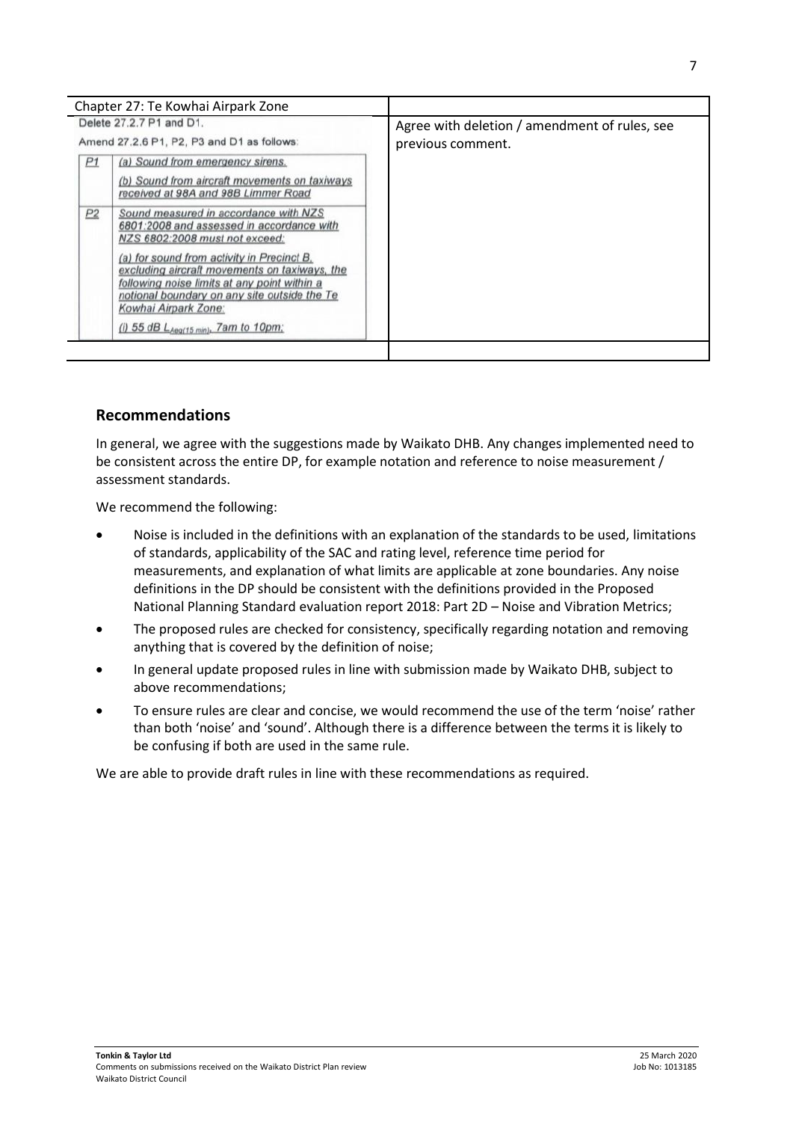|                          | Chapter 27: Te Kowhai Airpark Zone                                                                                                                                                                                                                                                                                                                                                        |                                               |
|--------------------------|-------------------------------------------------------------------------------------------------------------------------------------------------------------------------------------------------------------------------------------------------------------------------------------------------------------------------------------------------------------------------------------------|-----------------------------------------------|
| Delete 27.2.7 P1 and D1. |                                                                                                                                                                                                                                                                                                                                                                                           | Agree with deletion / amendment of rules, see |
|                          | Amend 27.2.6 P1, P2, P3 and D1 as follows:                                                                                                                                                                                                                                                                                                                                                | previous comment.                             |
| P1                       | (a) Sound from emergency sirens.<br>(b) Sound from aircraft movements on taxiways<br>received at 98A and 98B Limmer Road                                                                                                                                                                                                                                                                  |                                               |
| P2                       | Sound measured in accordance with NZS<br>6801:2008 and assessed in accordance with<br>NZS 6802:2008 must not exceed:<br>(a) for sound from activity in Precinct B.<br>excluding aircraft movements on taxiways, the<br>following noise limits at any point within a<br>notional boundary on any site outside the Te<br>Kowhai Airpark Zone:<br>(i) 55 dB $L_{Aeq(15 min)}$ , 7am to 10pm; |                                               |

## **Recommendations**

In general, we agree with the suggestions made by Waikato DHB. Any changes implemented need to be consistent across the entire DP, for example notation and reference to noise measurement / assessment standards.

We recommend the following:

- Noise is included in the definitions with an explanation of the standards to be used, limitations of standards, applicability of the SAC and rating level, reference time period for measurements, and explanation of what limits are applicable at zone boundaries. Any noise definitions in the DP should be consistent with the definitions provided in the Proposed National Planning Standard evaluation report 2018: Part 2D – Noise and Vibration Metrics;
- The proposed rules are checked for consistency, specifically regarding notation and removing anything that is covered by the definition of noise;
- In general update proposed rules in line with submission made by Waikato DHB, subject to above recommendations;
- To ensure rules are clear and concise, we would recommend the use of the term 'noise' rather than both 'noise' and 'sound'. Although there is a difference between the terms it is likely to be confusing if both are used in the same rule.

We are able to provide draft rules in line with these recommendations as required.